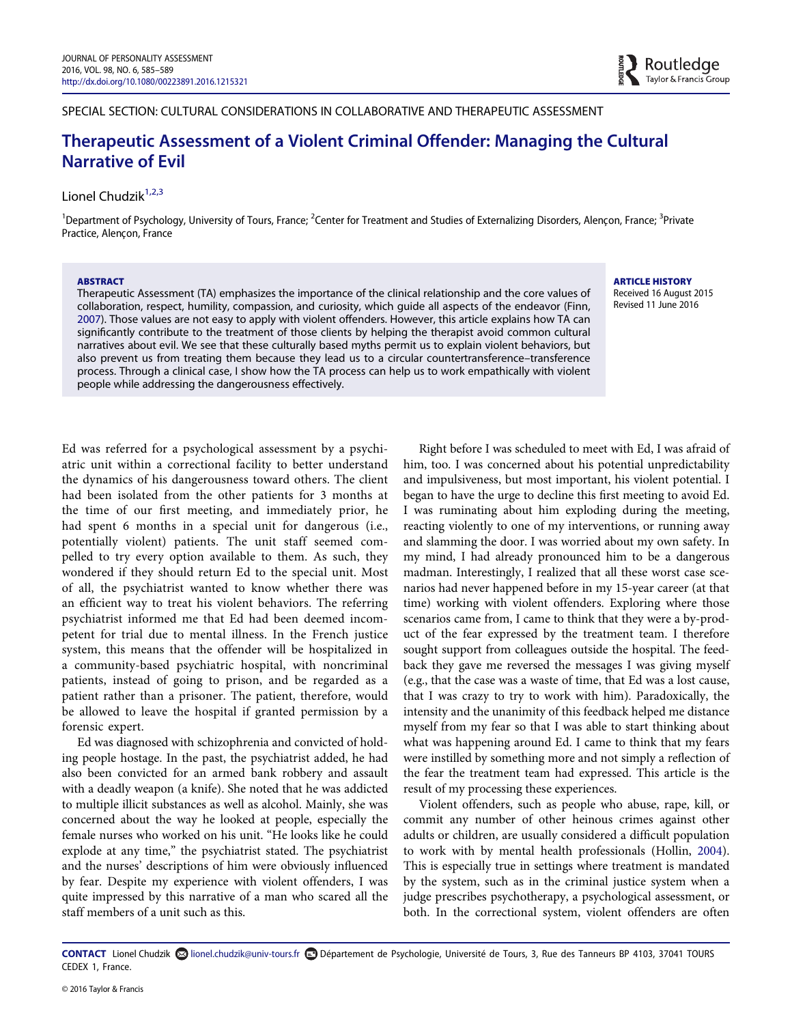SPECIAL SECTION: CULTURAL CONSIDERATIONS IN COLLABORATIVE AND THERAPEUTIC ASSESSMENT

# Therapeutic Assessment of a Violent Criminal Offender: Managing the Cultural Narrative of Evil

# Lionel Chudzik<sup>[1,2,3](#page-0-0)</sup>

<span id="page-0-0"></span><sup>1</sup>Department of Psychology, University of Tours, France; <sup>2</sup>Center for Treatment and Studies of Externalizing Disorders, Alençon, France; <sup>3</sup>Private Practice, Alençon, France

#### ABSTRACT

Therapeutic Assessment (TA) emphasizes the importance of the clinical relationship and the core values of collaboration, respect, humility, compassion, and curiosity, which guide all aspects of the endeavor (Finn, [2007](#page-4-0)). Those values are not easy to apply with violent offenders. However, this article explains how TA can significantly contribute to the treatment of those clients by helping the therapist avoid common cultural narratives about evil. We see that these culturally based myths permit us to explain violent behaviors, but also prevent us from treating them because they lead us to a circular countertransference–transference process. Through a clinical case, I show how the TA process can help us to work empathically with violent people while addressing the dangerousness effectively.

ARTICLE HISTORY Received 16 August 2015 Revised 11 June 2016

Ed was referred for a psychological assessment by a psychiatric unit within a correctional facility to better understand the dynamics of his dangerousness toward others. The client had been isolated from the other patients for 3 months at the time of our first meeting, and immediately prior, he had spent 6 months in a special unit for dangerous (i.e., potentially violent) patients. The unit staff seemed compelled to try every option available to them. As such, they wondered if they should return Ed to the special unit. Most of all, the psychiatrist wanted to know whether there was an efficient way to treat his violent behaviors. The referring psychiatrist informed me that Ed had been deemed incompetent for trial due to mental illness. In the French justice system, this means that the offender will be hospitalized in a community-based psychiatric hospital, with noncriminal patients, instead of going to prison, and be regarded as a patient rather than a prisoner. The patient, therefore, would be allowed to leave the hospital if granted permission by a forensic expert.

Ed was diagnosed with schizophrenia and convicted of holding people hostage. In the past, the psychiatrist added, he had also been convicted for an armed bank robbery and assault with a deadly weapon (a knife). She noted that he was addicted to multiple illicit substances as well as alcohol. Mainly, she was concerned about the way he looked at people, especially the female nurses who worked on his unit. "He looks like he could explode at any time," the psychiatrist stated. The psychiatrist and the nurses' descriptions of him were obviously influenced by fear. Despite my experience with violent offenders, I was quite impressed by this narrative of a man who scared all the staff members of a unit such as this.

Right before I was scheduled to meet with Ed, I was afraid of him, too. I was concerned about his potential unpredictability and impulsiveness, but most important, his violent potential. I began to have the urge to decline this first meeting to avoid Ed. I was ruminating about him exploding during the meeting, reacting violently to one of my interventions, or running away and slamming the door. I was worried about my own safety. In my mind, I had already pronounced him to be a dangerous madman. Interestingly, I realized that all these worst case scenarios had never happened before in my 15-year career (at that time) working with violent offenders. Exploring where those scenarios came from, I came to think that they were a by-product of the fear expressed by the treatment team. I therefore sought support from colleagues outside the hospital. The feedback they gave me reversed the messages I was giving myself (e.g., that the case was a waste of time, that Ed was a lost cause, that I was crazy to try to work with him). Paradoxically, the intensity and the unanimity of this feedback helped me distance myself from my fear so that I was able to start thinking about what was happening around Ed. I came to think that my fears were instilled by something more and not simply a reflection of the fear the treatment team had expressed. This article is the result of my processing these experiences.

Violent offenders, such as people who abuse, rape, kill, or commit any number of other heinous crimes against other adults or children, are usually considered a difficult population to work with by mental health professionals (Hollin, [2004\)](#page-4-1). This is especially true in settings where treatment is mandated by the system, such as in the criminal justice system when a judge prescribes psychotherapy, a psychological assessment, or both. In the correctional system, violent offenders are often

CONTACT Lionel Chudzik lionel.chudzik@univ-tours.fr Département de Psychologie, Université de Tours, 3, Rue des Tanneurs BP 4103, 37041 TOURS CEDEX 1, France.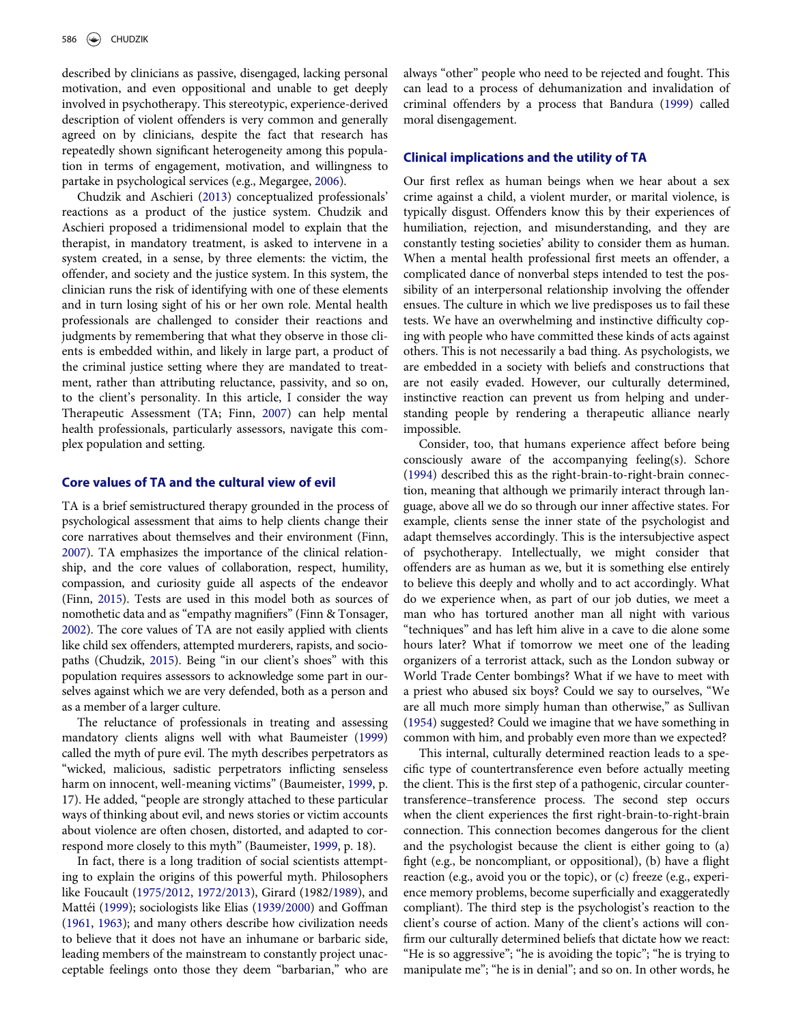described by clinicians as passive, disengaged, lacking personal motivation, and even oppositional and unable to get deeply involved in psychotherapy. This stereotypic, experience-derived description of violent offenders is very common and generally agreed on by clinicians, despite the fact that research has repeatedly shown significant heterogeneity among this population in terms of engagement, motivation, and willingness to partake in psychological services (e.g., Megargee, [2006](#page-4-2)).

Chudzik and Aschieri ([2013\)](#page-4-3) conceptualized professionals' reactions as a product of the justice system. Chudzik and Aschieri proposed a tridimensional model to explain that the therapist, in mandatory treatment, is asked to intervene in a system created, in a sense, by three elements: the victim, the offender, and society and the justice system. In this system, the clinician runs the risk of identifying with one of these elements and in turn losing sight of his or her own role. Mental health professionals are challenged to consider their reactions and judgments by remembering that what they observe in those clients is embedded within, and likely in large part, a product of the criminal justice setting where they are mandated to treatment, rather than attributing reluctance, passivity, and so on, to the client's personality. In this article, I consider the way Therapeutic Assessment (TA; Finn, [2007\)](#page-4-0) can help mental health professionals, particularly assessors, navigate this complex population and setting.

## Core values of TA and the cultural view of evil

TA is a brief semistructured therapy grounded in the process of psychological assessment that aims to help clients change their core narratives about themselves and their environment (Finn, [2007\)](#page-4-0). TA emphasizes the importance of the clinical relationship, and the core values of collaboration, respect, humility, compassion, and curiosity guide all aspects of the endeavor (Finn, [2015\)](#page-4-4). Tests are used in this model both as sources of nomothetic data and as "empathy magnifiers" (Finn & Tonsager, [2002\)](#page-4-5). The core values of TA are not easily applied with clients like child sex offenders, attempted murderers, rapists, and sociopaths (Chudzik, [2015\)](#page-4-6). Being "in our client's shoes" with this population requires assessors to acknowledge some part in ourselves against which we are very defended, both as a person and as a member of a larger culture.

The reluctance of professionals in treating and assessing mandatory clients aligns well with what Baumeister [\(1999\)](#page-4-7) called the myth of pure evil. The myth describes perpetrators as "wicked, malicious, sadistic perpetrators inflicting senseless harm on innocent, well-meaning victims" (Baumeister, [1999,](#page-4-7) p. 17). He added, "people are strongly attached to these particular ways of thinking about evil, and news stories or victim accounts about violence are often chosen, distorted, and adapted to correspond more closely to this myth" (Baumeister, [1999](#page-4-7), p. 18).

In fact, there is a long tradition of social scientists attempting to explain the origins of this powerful myth. Philosophers like Foucault ([1975/2012](#page-4-8), [1972/2013\)](#page-4-9), Girard (1982[/1989\)](#page-4-10), and Mattéi [\(1999](#page-4-11)); sociologists like Elias [\(1939/2000\)](#page-4-12) and Goffman [\(1961](#page-4-13), [1963\)](#page-4-14); and many others describe how civilization needs to believe that it does not have an inhumane or barbaric side, leading members of the mainstream to constantly project unacceptable feelings onto those they deem "barbarian," who are

always "other" people who need to be rejected and fought. This can lead to a process of dehumanization and invalidation of criminal offenders by a process that Bandura ([1999\)](#page-4-15) called moral disengagement.

#### Clinical implications and the utility of TA

Our first reflex as human beings when we hear about a sex crime against a child, a violent murder, or marital violence, is typically disgust. Offenders know this by their experiences of humiliation, rejection, and misunderstanding, and they are constantly testing societies' ability to consider them as human. When a mental health professional first meets an offender, a complicated dance of nonverbal steps intended to test the possibility of an interpersonal relationship involving the offender ensues. The culture in which we live predisposes us to fail these tests. We have an overwhelming and instinctive difficulty coping with people who have committed these kinds of acts against others. This is not necessarily a bad thing. As psychologists, we are embedded in a society with beliefs and constructions that are not easily evaded. However, our culturally determined, instinctive reaction can prevent us from helping and understanding people by rendering a therapeutic alliance nearly impossible.

Consider, too, that humans experience affect before being consciously aware of the accompanying feeling(s). Schore [\(1994\)](#page-4-16) described this as the right-brain-to-right-brain connection, meaning that although we primarily interact through language, above all we do so through our inner affective states. For example, clients sense the inner state of the psychologist and adapt themselves accordingly. This is the intersubjective aspect of psychotherapy. Intellectually, we might consider that offenders are as human as we, but it is something else entirely to believe this deeply and wholly and to act accordingly. What do we experience when, as part of our job duties, we meet a man who has tortured another man all night with various "techniques" and has left him alive in a cave to die alone some hours later? What if tomorrow we meet one of the leading organizers of a terrorist attack, such as the London subway or World Trade Center bombings? What if we have to meet with a priest who abused six boys? Could we say to ourselves, "We are all much more simply human than otherwise," as Sullivan [\(1954\)](#page-4-17) suggested? Could we imagine that we have something in common with him, and probably even more than we expected?

This internal, culturally determined reaction leads to a specific type of countertransference even before actually meeting the client. This is the first step of a pathogenic, circular countertransference–transference process. The second step occurs when the client experiences the first right-brain-to-right-brain connection. This connection becomes dangerous for the client and the psychologist because the client is either going to (a) fight (e.g., be noncompliant, or oppositional), (b) have a flight reaction (e.g., avoid you or the topic), or (c) freeze (e.g., experience memory problems, become superficially and exaggeratedly compliant). The third step is the psychologist's reaction to the client's course of action. Many of the client's actions will confirm our culturally determined beliefs that dictate how we react: "He is so aggressive"; "he is avoiding the topic"; "he is trying to manipulate me"; "he is in denial"; and so on. In other words, he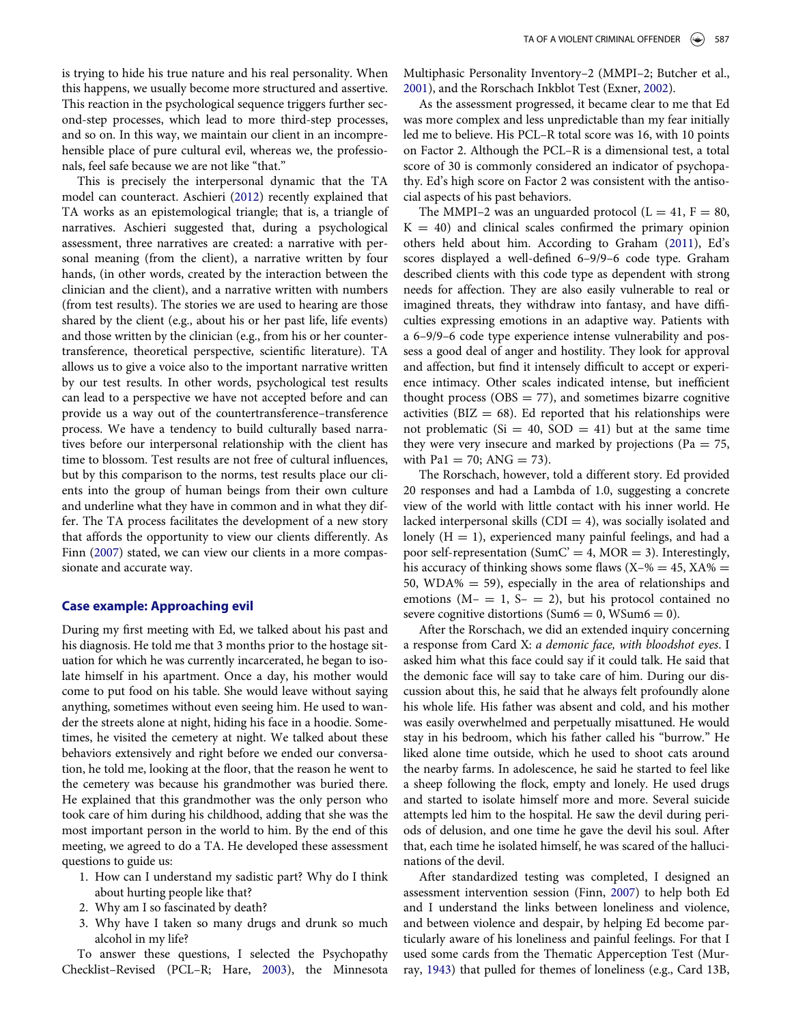is trying to hide his true nature and his real personality. When this happens, we usually become more structured and assertive. This reaction in the psychological sequence triggers further second-step processes, which lead to more third-step processes, and so on. In this way, we maintain our client in an incomprehensible place of pure cultural evil, whereas we, the professionals, feel safe because we are not like "that."

This is precisely the interpersonal dynamic that the TA model can counteract. Aschieri [\(2012\)](#page-4-18) recently explained that TA works as an epistemological triangle; that is, a triangle of narratives. Aschieri suggested that, during a psychological assessment, three narratives are created: a narrative with personal meaning (from the client), a narrative written by four hands, (in other words, created by the interaction between the clinician and the client), and a narrative written with numbers (from test results). The stories we are used to hearing are those shared by the client (e.g., about his or her past life, life events) and those written by the clinician (e.g., from his or her countertransference, theoretical perspective, scientific literature). TA allows us to give a voice also to the important narrative written by our test results. In other words, psychological test results can lead to a perspective we have not accepted before and can provide us a way out of the countertransference–transference process. We have a tendency to build culturally based narratives before our interpersonal relationship with the client has time to blossom. Test results are not free of cultural influences, but by this comparison to the norms, test results place our clients into the group of human beings from their own culture and underline what they have in common and in what they differ. The TA process facilitates the development of a new story that affords the opportunity to view our clients differently. As Finn ([2007\)](#page-4-0) stated, we can view our clients in a more compassionate and accurate way.

#### Case example: Approaching evil

During my first meeting with Ed, we talked about his past and his diagnosis. He told me that 3 months prior to the hostage situation for which he was currently incarcerated, he began to isolate himself in his apartment. Once a day, his mother would come to put food on his table. She would leave without saying anything, sometimes without even seeing him. He used to wander the streets alone at night, hiding his face in a hoodie. Sometimes, he visited the cemetery at night. We talked about these behaviors extensively and right before we ended our conversation, he told me, looking at the floor, that the reason he went to the cemetery was because his grandmother was buried there. He explained that this grandmother was the only person who took care of him during his childhood, adding that she was the most important person in the world to him. By the end of this meeting, we agreed to do a TA. He developed these assessment questions to guide us:

- 1. How can I understand my sadistic part? Why do I think about hurting people like that?
- 2. Why am I so fascinated by death?
- 3. Why have I taken so many drugs and drunk so much alcohol in my life?

To answer these questions, I selected the Psychopathy Checklist–Revised (PCL–R; Hare, [2003\)](#page-4-19), the Minnesota Multiphasic Personality Inventory–2 (MMPI–2; Butcher et al., [2001](#page-4-20)), and the Rorschach Inkblot Test (Exner, [2002\)](#page-4-21).

As the assessment progressed, it became clear to me that Ed was more complex and less unpredictable than my fear initially led me to believe. His PCL–R total score was 16, with 10 points on Factor 2. Although the PCL–R is a dimensional test, a total score of 30 is commonly considered an indicator of psychopathy. Ed's high score on Factor 2 was consistent with the antisocial aspects of his past behaviors.

The MMPI–2 was an unguarded protocol ( $L = 41$ ,  $F = 80$ ,  $K = 40$ ) and clinical scales confirmed the primary opinion others held about him. According to Graham ([2011\)](#page-4-22), Ed's scores displayed a well-defined 6–9/9–6 code type. Graham described clients with this code type as dependent with strong needs for affection. They are also easily vulnerable to real or imagined threats, they withdraw into fantasy, and have difficulties expressing emotions in an adaptive way. Patients with a 6–9/9–6 code type experience intense vulnerability and possess a good deal of anger and hostility. They look for approval and affection, but find it intensely difficult to accept or experience intimacy. Other scales indicated intense, but inefficient thought process ( $OBS = 77$ ), and sometimes bizarre cognitive activities ( $BIZ = 68$ ). Ed reported that his relationships were not problematic ( $Si = 40$ ,  $SOD = 41$ ) but at the same time they were very insecure and marked by projections (Pa  $= 75$ , with Pa1 = 70; ANG = 73).

The Rorschach, however, told a different story. Ed provided 20 responses and had a Lambda of 1.0, suggesting a concrete view of the world with little contact with his inner world. He lacked interpersonal skills (CDI  $=$  4), was socially isolated and lonely  $(H = 1)$ , experienced many painful feelings, and had a poor self-representation (SumC' = 4, MOR = 3). Interestingly, his accuracy of thinking shows some flaws  $(X-% = 45, XA% =$ 50, WDA%  $=$  59), especially in the area of relationships and emotions  $(M - = 1, S - = 2)$ , but his protocol contained no severe cognitive distortions (Sum $6 = 0$ , WSum $6 = 0$ ).

After the Rorschach, we did an extended inquiry concerning a response from Card X: a demonic face, with bloodshot eyes. I asked him what this face could say if it could talk. He said that the demonic face will say to take care of him. During our discussion about this, he said that he always felt profoundly alone his whole life. His father was absent and cold, and his mother was easily overwhelmed and perpetually misattuned. He would stay in his bedroom, which his father called his "burrow." He liked alone time outside, which he used to shoot cats around the nearby farms. In adolescence, he said he started to feel like a sheep following the flock, empty and lonely. He used drugs and started to isolate himself more and more. Several suicide attempts led him to the hospital. He saw the devil during periods of delusion, and one time he gave the devil his soul. After that, each time he isolated himself, he was scared of the hallucinations of the devil.

After standardized testing was completed, I designed an assessment intervention session (Finn, [2007](#page-4-0)) to help both Ed and I understand the links between loneliness and violence, and between violence and despair, by helping Ed become particularly aware of his loneliness and painful feelings. For that I used some cards from the Thematic Apperception Test (Murray, [1943\)](#page-4-23) that pulled for themes of loneliness (e.g., Card 13B,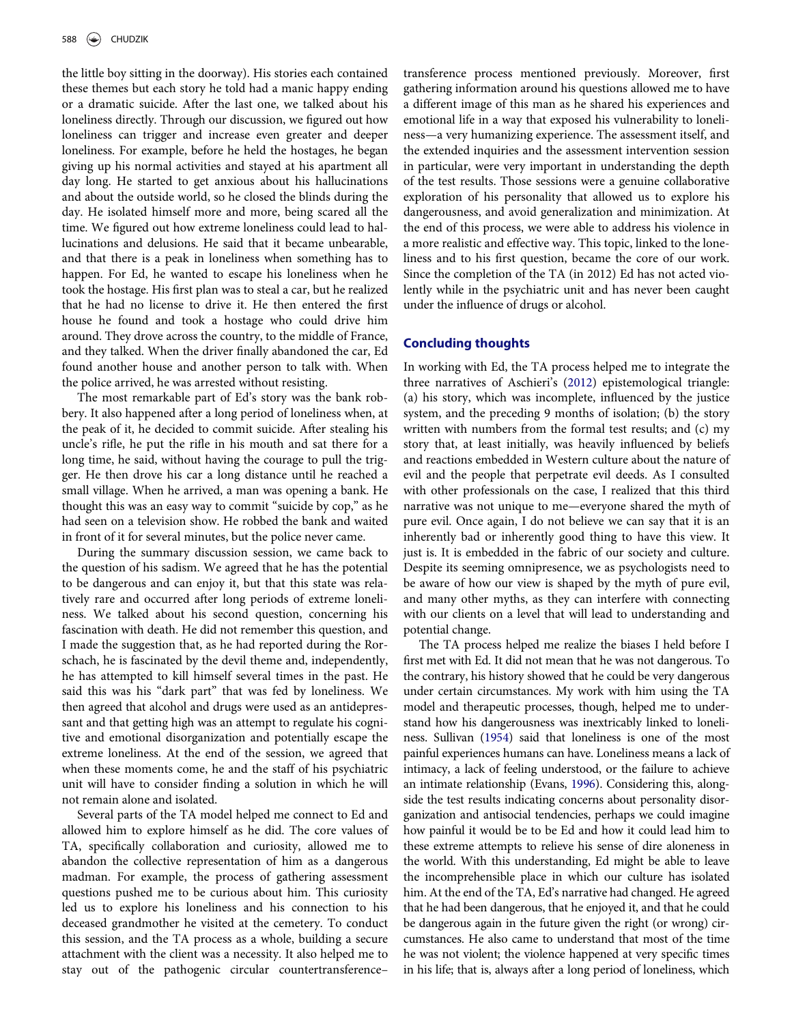the little boy sitting in the doorway). His stories each contained these themes but each story he told had a manic happy ending or a dramatic suicide. After the last one, we talked about his loneliness directly. Through our discussion, we figured out how loneliness can trigger and increase even greater and deeper loneliness. For example, before he held the hostages, he began giving up his normal activities and stayed at his apartment all day long. He started to get anxious about his hallucinations and about the outside world, so he closed the blinds during the day. He isolated himself more and more, being scared all the time. We figured out how extreme loneliness could lead to hallucinations and delusions. He said that it became unbearable, and that there is a peak in loneliness when something has to happen. For Ed, he wanted to escape his loneliness when he took the hostage. His first plan was to steal a car, but he realized that he had no license to drive it. He then entered the first house he found and took a hostage who could drive him around. They drove across the country, to the middle of France, and they talked. When the driver finally abandoned the car, Ed found another house and another person to talk with. When the police arrived, he was arrested without resisting.

The most remarkable part of Ed's story was the bank robbery. It also happened after a long period of loneliness when, at the peak of it, he decided to commit suicide. After stealing his uncle's rifle, he put the rifle in his mouth and sat there for a long time, he said, without having the courage to pull the trigger. He then drove his car a long distance until he reached a small village. When he arrived, a man was opening a bank. He thought this was an easy way to commit "suicide by cop," as he had seen on a television show. He robbed the bank and waited in front of it for several minutes, but the police never came.

During the summary discussion session, we came back to the question of his sadism. We agreed that he has the potential to be dangerous and can enjoy it, but that this state was relatively rare and occurred after long periods of extreme loneliness. We talked about his second question, concerning his fascination with death. He did not remember this question, and I made the suggestion that, as he had reported during the Rorschach, he is fascinated by the devil theme and, independently, he has attempted to kill himself several times in the past. He said this was his "dark part" that was fed by loneliness. We then agreed that alcohol and drugs were used as an antidepressant and that getting high was an attempt to regulate his cognitive and emotional disorganization and potentially escape the extreme loneliness. At the end of the session, we agreed that when these moments come, he and the staff of his psychiatric unit will have to consider finding a solution in which he will not remain alone and isolated.

Several parts of the TA model helped me connect to Ed and allowed him to explore himself as he did. The core values of TA, specifically collaboration and curiosity, allowed me to abandon the collective representation of him as a dangerous madman. For example, the process of gathering assessment questions pushed me to be curious about him. This curiosity led us to explore his loneliness and his connection to his deceased grandmother he visited at the cemetery. To conduct this session, and the TA process as a whole, building a secure attachment with the client was a necessity. It also helped me to stay out of the pathogenic circular countertransference–

transference process mentioned previously. Moreover, first gathering information around his questions allowed me to have a different image of this man as he shared his experiences and emotional life in a way that exposed his vulnerability to loneliness—a very humanizing experience. The assessment itself, and the extended inquiries and the assessment intervention session in particular, were very important in understanding the depth of the test results. Those sessions were a genuine collaborative exploration of his personality that allowed us to explore his dangerousness, and avoid generalization and minimization. At the end of this process, we were able to address his violence in a more realistic and effective way. This topic, linked to the loneliness and to his first question, became the core of our work. Since the completion of the TA (in 2012) Ed has not acted violently while in the psychiatric unit and has never been caught under the influence of drugs or alcohol.

#### Concluding thoughts

In working with Ed, the TA process helped me to integrate the three narratives of Aschieri's ([2012](#page-4-18)) epistemological triangle: (a) his story, which was incomplete, influenced by the justice system, and the preceding 9 months of isolation; (b) the story written with numbers from the formal test results; and (c) my story that, at least initially, was heavily influenced by beliefs and reactions embedded in Western culture about the nature of evil and the people that perpetrate evil deeds. As I consulted with other professionals on the case, I realized that this third narrative was not unique to me—everyone shared the myth of pure evil. Once again, I do not believe we can say that it is an inherently bad or inherently good thing to have this view. It just is. It is embedded in the fabric of our society and culture. Despite its seeming omnipresence, we as psychologists need to be aware of how our view is shaped by the myth of pure evil, and many other myths, as they can interfere with connecting with our clients on a level that will lead to understanding and potential change.

The TA process helped me realize the biases I held before I first met with Ed. It did not mean that he was not dangerous. To the contrary, his history showed that he could be very dangerous under certain circumstances. My work with him using the TA model and therapeutic processes, though, helped me to understand how his dangerousness was inextricably linked to loneliness. Sullivan ([1954](#page-4-17)) said that loneliness is one of the most painful experiences humans can have. Loneliness means a lack of intimacy, a lack of feeling understood, or the failure to achieve an intimate relationship (Evans, [1996](#page-4-24)). Considering this, alongside the test results indicating concerns about personality disorganization and antisocial tendencies, perhaps we could imagine how painful it would be to be Ed and how it could lead him to these extreme attempts to relieve his sense of dire aloneness in the world. With this understanding, Ed might be able to leave the incomprehensible place in which our culture has isolated him. At the end of the TA, Ed's narrative had changed. He agreed that he had been dangerous, that he enjoyed it, and that he could be dangerous again in the future given the right (or wrong) circumstances. He also came to understand that most of the time he was not violent; the violence happened at very specific times in his life; that is, always after a long period of loneliness, which